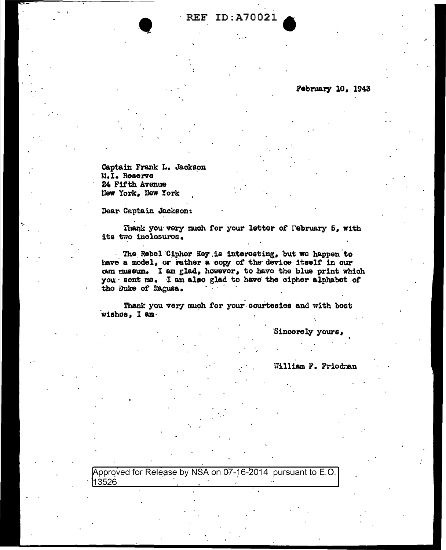**REF ID: A70021** 

February 10, 1943

Captain Frank L. Jackson M.I. Reserve 24 Fifth Avenue New York, New York

Dear Captain Jackson:

Thank you very much for your letter of February 5, with its two inclosures.

The Rebel Cipher Key is interesting, but we happen to have a model, or rather a copy of the device itself in our own museum. I am glad, however, to have the blue print which you sent me. I am also glad to have the cipher alphabet of tho Duke of Ragusa.

Thank you very much for your courtesies and with bost wishos, I am.

Sincerely yours,

William F. Friodman

Approved for Release by NSA on 07-16-2014 pursuant to E.O. 13526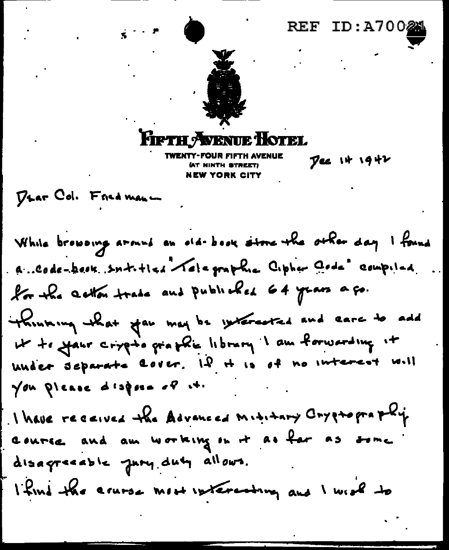

**AT NINTH STREET! NEW YORK CITY** 

Dee it 1942

DLAT Col. Fried man -

While browoing around an old-book stone the other day I found a Code-book sntitles relegathe Cipher Gode compiled for the action trade and publicles 64 years a go. thinking that you may be systemated and eare to add under separate cover. Il it is of no interest will You please dispose of it. I have received the Advanced Mititary Cryptopra phy course and am working on it as for as some disagreeable jury duty allows. I find the acurse most interesting and I week to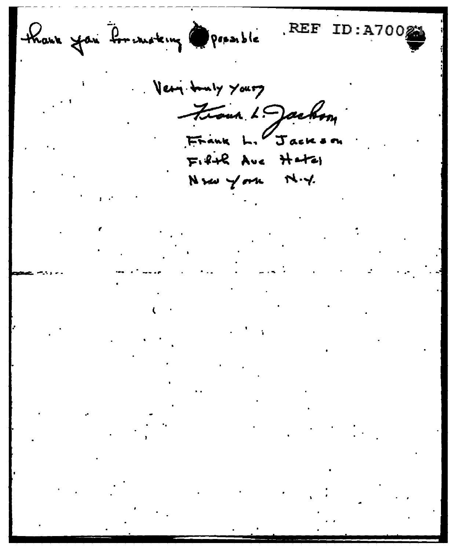thank you for moterny possible

REF ID:A7002

Very truly yours Front L. Jackson Frank L. Jackson  $F: 4+R$  Ave Hatal Nrw York N.Y.